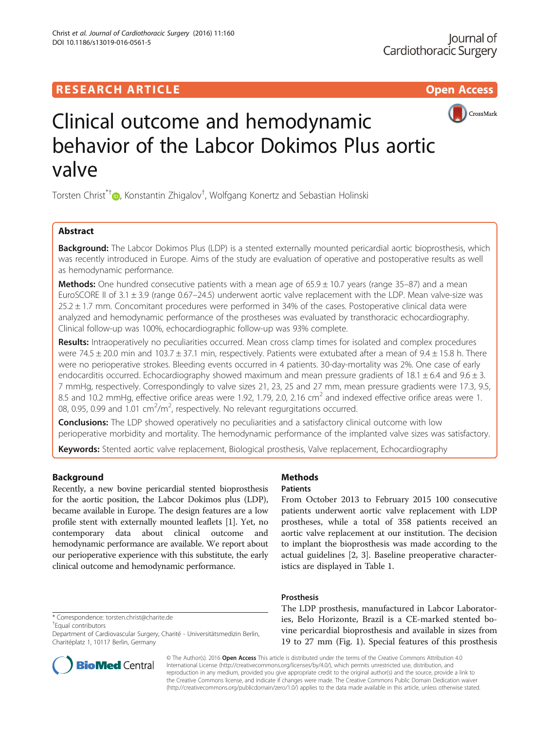

# Clinical outcome and hemodynamic behavior of the Labcor Dokimos Plus aortic valve

Torsten Christ<sup>\*[†](http://orcid.org/0000-0001-5925-4070)</sup>©, Konstantin Zhigalov<sup>†</sup>, Wolfgang Konertz and Sebastian Holinski

# Abstract

**Background:** The Labcor Dokimos Plus (LDP) is a stented externally mounted pericardial aortic bioprosthesis, which was recently introduced in Europe. Aims of the study are evaluation of operative and postoperative results as well as hemodynamic performance.

**Methods:** One hundred consecutive patients with a mean age of  $65.9 \pm 10.7$  years (range 35–87) and a mean EuroSCORE II of 3.1 ± 3.9 (range 0.67–24.5) underwent aortic valve replacement with the LDP. Mean valve-size was 25.2 ± 1.7 mm. Concomitant procedures were performed in 34% of the cases. Postoperative clinical data were analyzed and hemodynamic performance of the prostheses was evaluated by transthoracic echocardiography. Clinical follow-up was 100%, echocardiographic follow-up was 93% complete.

Results: Intraoperatively no peculiarities occurred. Mean cross clamp times for isolated and complex procedures were 74.5  $\pm$  20.0 min and 103.7  $\pm$  37.1 min, respectively. Patients were extubated after a mean of 9.4  $\pm$  15.8 h. There were no perioperative strokes. Bleeding events occurred in 4 patients. 30-day-mortality was 2%. One case of early endocarditis occurred. Echocardiography showed maximum and mean pressure gradients of 18.1  $\pm$  6.4 and 9.6  $\pm$  3. 7 mmHg, respectively. Correspondingly to valve sizes 21, 23, 25 and 27 mm, mean pressure gradients were 17.3, 9.5, 8.5 and 10.2 mmHg, effective orifice areas were 1.92, 1.79, 2.0, 2.16 cm<sup>2</sup> and indexed effective orifice areas were 1. 08, 0.95, 0.99 and  $1.01 \text{ cm}^2/\text{m}^2$ , respectively. No relevant regurgitations occurred.

**Conclusions:** The LDP showed operatively no peculiarities and a satisfactory clinical outcome with low perioperative morbidity and mortality. The hemodynamic performance of the implanted valve sizes was satisfactory.

Keywords: Stented aortic valve replacement, Biological prosthesis, Valve replacement, Echocardiography

# Background

Recently, a new bovine pericardial stented bioprosthesis for the aortic position, the Labcor Dokimos plus (LDP), became available in Europe. The design features are a low profile stent with externally mounted leaflets [\[1](#page-4-0)]. Yet, no contemporary data about clinical outcome and hemodynamic performance are available. We report about our perioperative experience with this substitute, the early clinical outcome and hemodynamic performance.

\* Correspondence: [torsten.christ@charite.de](mailto:torsten.christ@charite.de) †

Equal contributors

Department of Cardiovascular Surgery, Charité - Universitätsmedizin Berlin, Charitéplatz 1, 10117 Berlin, Germany



# **Methods**

Patients

From October 2013 to February 2015 100 consecutive patients underwent aortic valve replacement with LDP prostheses, while a total of 358 patients received an aortic valve replacement at our institution. The decision to implant the bioprosthesis was made according to the actual guidelines [[2, 3](#page-4-0)]. Baseline preoperative characteristics are displayed in Table [1.](#page-1-0)

# Prosthesis

The LDP prosthesis, manufactured in Labcor Laboratories, Belo Horizonte, Brazil is a CE-marked stented bovine pericardial bioprosthesis and available in sizes from 19 to 27 mm (Fig. [1](#page-1-0)). Special features of this prosthesis

© The Author(s). 2016 Open Access This article is distributed under the terms of the Creative Commons Attribution 4.0 International License [\(http://creativecommons.org/licenses/by/4.0/](http://creativecommons.org/licenses/by/4.0/)), which permits unrestricted use, distribution, and reproduction in any medium, provided you give appropriate credit to the original author(s) and the source, provide a link to the Creative Commons license, and indicate if changes were made. The Creative Commons Public Domain Dedication waiver [\(http://creativecommons.org/publicdomain/zero/1.0/](http://creativecommons.org/publicdomain/zero/1.0/)) applies to the data made available in this article, unless otherwise stated.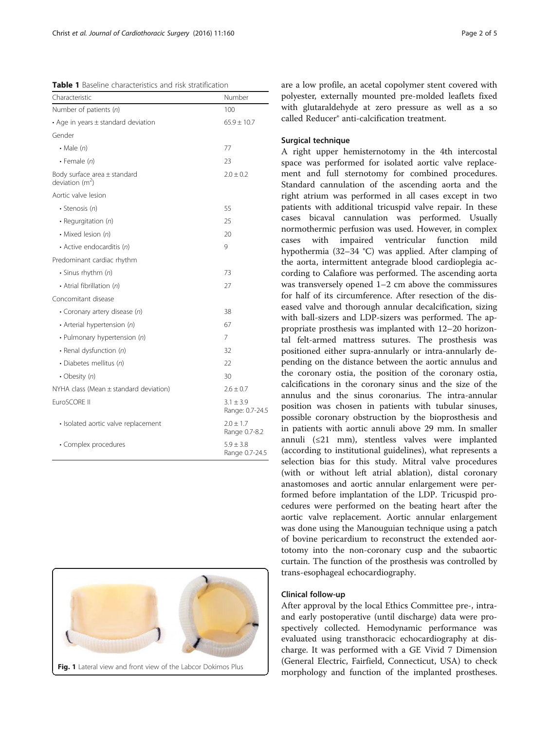<span id="page-1-0"></span>

| <b>Table 1</b> Baseline characteristics and risk stratification |  |
|-----------------------------------------------------------------|--|
|-----------------------------------------------------------------|--|

| Characteristic                                        | Number                           |  |
|-------------------------------------------------------|----------------------------------|--|
| Number of patients (n)                                | 100                              |  |
| • Age in years $\pm$ standard deviation               | $65.9 \pm 10.7$                  |  |
| Gender                                                |                                  |  |
| $\cdot$ Male $(n)$                                    | 77                               |  |
| $\cdot$ Female (n)                                    | 23                               |  |
| Body surface area $\pm$ standard<br>deviation $(m^2)$ | $2.0 \pm 0.2$                    |  |
| Aortic valve lesion                                   |                                  |  |
| · Stenosis (n)                                        | 55                               |  |
| • Requrgitation $(n)$                                 | 25                               |  |
| • Mixed lesion (n)                                    | 20                               |  |
| • Active endocarditis (n)                             | 9                                |  |
| Predominant cardiac rhythm                            |                                  |  |
| · Sinus rhythm (n)                                    | 73                               |  |
| • Atrial fibrillation (n)                             | 27                               |  |
| Concomitant disease                                   |                                  |  |
| • Coronary artery disease (n)                         | 38                               |  |
| • Arterial hypertension (n)                           | 67                               |  |
| • Pulmonary hypertension (n)                          | 7                                |  |
| • Renal dysfunction (n)                               | 32                               |  |
| · Diabetes mellitus (n)                               | 22                               |  |
| • Obesity $(n)$                                       | 30                               |  |
| $NYHA$ class (Mean $\pm$ standard deviation)          | $2.6 \pm 0.7$                    |  |
| EuroSCORE II                                          | $3.1 \pm 3.9$<br>Range: 0.7-24.5 |  |
| • Isolated aortic valve replacement                   | $2.0 \pm 1.7$<br>Range 0.7-8.2   |  |
| • Complex procedures                                  | $5.9 \pm 3.8$<br>Range 0.7-24.5  |  |



are a low profile, an acetal copolymer stent covered with polyester, externally mounted pre-molded leaflets fixed with glutaraldehyde at zero pressure as well as a so called Reducer® anti-calcification treatment.

# Surgical technique

A right upper hemisternotomy in the 4th intercostal space was performed for isolated aortic valve replacement and full sternotomy for combined procedures. Standard cannulation of the ascending aorta and the right atrium was performed in all cases except in two patients with additional tricuspid valve repair. In these cases bicaval cannulation was performed. Usually normothermic perfusion was used. However, in complex cases with impaired ventricular function mild hypothermia (32–34 °C) was applied. After clamping of the aorta, intermittent antegrade blood cardioplegia according to Calafiore was performed. The ascending aorta was transversely opened 1–2 cm above the commissures for half of its circumference. After resection of the diseased valve and thorough annular decalcification, sizing with ball-sizers and LDP-sizers was performed. The appropriate prosthesis was implanted with 12–20 horizontal felt-armed mattress sutures. The prosthesis was positioned either supra-annularly or intra-annularly depending on the distance between the aortic annulus and the coronary ostia, the position of the coronary ostia, calcifications in the coronary sinus and the size of the annulus and the sinus coronarius. The intra-annular position was chosen in patients with tubular sinuses, possible coronary obstruction by the bioprosthesis and in patients with aortic annuli above 29 mm. In smaller annuli (≤21 mm), stentless valves were implanted (according to institutional guidelines), what represents a selection bias for this study. Mitral valve procedures (with or without left atrial ablation), distal coronary anastomoses and aortic annular enlargement were performed before implantation of the LDP. Tricuspid procedures were performed on the beating heart after the aortic valve replacement. Aortic annular enlargement was done using the Manouguian technique using a patch of bovine pericardium to reconstruct the extended aortotomy into the non-coronary cusp and the subaortic curtain. The function of the prosthesis was controlled by trans-esophageal echocardiography.

# Clinical follow-up

After approval by the local Ethics Committee pre-, intraand early postoperative (until discharge) data were prospectively collected. Hemodynamic performance was evaluated using transthoracic echocardiography at discharge. It was performed with a GE Vivid 7 Dimension (General Electric, Fairfield, Connecticut, USA) to check morphology and function of the implanted prostheses.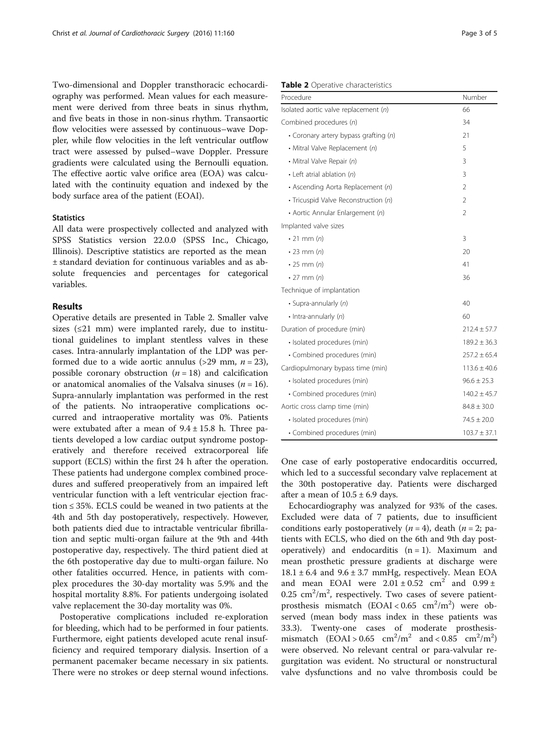Two-dimensional and Doppler transthoracic echocardiography was performed. Mean values for each measurement were derived from three beats in sinus rhythm, and five beats in those in non-sinus rhythm. Transaortic flow velocities were assessed by continuous–wave Doppler, while flow velocities in the left ventricular outflow tract were assessed by pulsed–wave Doppler. Pressure gradients were calculated using the Bernoulli equation. The effective aortic valve orifice area (EOA) was calculated with the continuity equation and indexed by the body surface area of the patient (EOAI).

## **Statistics**

All data were prospectively collected and analyzed with SPSS Statistics version 22.0.0 (SPSS Inc., Chicago, Illinois). Descriptive statistics are reported as the mean ± standard deviation for continuous variables and as absolute frequencies and percentages for categorical variables.

# Results

Operative details are presented in Table 2. Smaller valve sizes  $(\leq 21$  mm) were implanted rarely, due to institutional guidelines to implant stentless valves in these cases. Intra-annularly implantation of the LDP was performed due to a wide aortic annulus (>29 mm,  $n = 23$ ), possible coronary obstruction  $(n = 18)$  and calcification or anatomical anomalies of the Valsalva sinuses ( $n = 16$ ). Supra-annularly implantation was performed in the rest of the patients. No intraoperative complications occurred and intraoperative mortality was 0%. Patients were extubated after a mean of  $9.4 \pm 15.8$  h. Three patients developed a low cardiac output syndrome postoperatively and therefore received extracorporeal life support (ECLS) within the first 24 h after the operation. These patients had undergone complex combined procedures and suffered preoperatively from an impaired left ventricular function with a left ventricular ejection fraction ≤ 35%. ECLS could be weaned in two patients at the 4th and 5th day postoperatively, respectively. However, both patients died due to intractable ventricular fibrillation and septic multi-organ failure at the 9th and 44th postoperative day, respectively. The third patient died at the 6th postoperative day due to multi-organ failure. No other fatalities occurred. Hence, in patients with complex procedures the 30-day mortality was 5.9% and the hospital mortality 8.8%. For patients undergoing isolated valve replacement the 30-day mortality was 0%.

Postoperative complications included re-exploration for bleeding, which had to be performed in four patients. Furthermore, eight patients developed acute renal insufficiency and required temporary dialysis. Insertion of a permanent pacemaker became necessary in six patients. There were no strokes or deep sternal wound infections.

#### Table 2 Operative characteristics

| Procedure                               | Number           |
|-----------------------------------------|------------------|
| Isolated aortic valve replacement $(n)$ | 66               |
| Combined procedures (n)                 | 34               |
| • Coronary artery bypass grafting (n)   | 21               |
| • Mitral Valve Replacement (n)          | 5                |
| • Mitral Valve Repair (n)               | 3                |
| • Left atrial ablation (n)              | 3                |
| • Ascending Aorta Replacement (n)       | $\overline{2}$   |
| • Tricuspid Valve Reconstruction (n)    | 2                |
| • Aortic Annular Enlargement (n)        | $\overline{2}$   |
| Implanted valve sizes                   |                  |
| $\cdot$ 21 mm $(n)$                     | 3                |
| $\cdot$ 23 mm $(n)$                     | 20               |
| $\cdot$ 25 mm $(n)$                     | 41               |
| $\cdot$ 27 mm $(n)$                     | 36               |
| Technique of implantation               |                  |
| · Supra-annularly (n)                   | 40               |
| $\cdot$ Intra-annularly (n)             | 60               |
| Duration of procedure (min)             | $212.4 \pm 57.7$ |
| · Isolated procedures (min)             | $189.2 \pm 36.3$ |
| • Combined procedures (min)             | $257.2 \pm 65.4$ |
| Cardiopulmonary bypass time (min)       | $113.6 \pm 40.6$ |
| · Isolated procedures (min)             | $96.6 \pm 25.3$  |
| • Combined procedures (min)             | $140.2 \pm 45.7$ |
| Aortic cross clamp time (min)           | $84.8 \pm 30.0$  |
| · Isolated procedures (min)             | $74.5 \pm 20.0$  |
| • Combined procedures (min)             | $103.7 \pm 37.1$ |

One case of early postoperative endocarditis occurred, which led to a successful secondary valve replacement at the 30th postoperative day. Patients were discharged after a mean of  $10.5 \pm 6.9$  days.

Echocardiography was analyzed for 93% of the cases. Excluded were data of 7 patients, due to insufficient conditions early postoperatively  $(n = 4)$ , death  $(n = 2;$  patients with ECLS, who died on the 6th and 9th day postoperatively) and endocarditis  $(n = 1)$ . Maximum and mean prosthetic pressure gradients at discharge were  $18.1 \pm 6.4$  and  $9.6 \pm 3.7$  mmHg, respectively. Mean EOA and mean EOAI were  $2.01 \pm 0.52$  cm<sup>2</sup> and  $0.99 \pm$  $0.25 \text{ cm}^2/\text{m}^2$ , respectively. Two cases of severe patientprosthesis mismatch  $(EOAI < 0.65 cm<sup>2</sup>/m<sup>2</sup>)$  were observed (mean body mass index in these patients was 33.3). Twenty-one cases of moderate prosthesismismatch  $(EOAI > 0.65 cm<sup>2</sup>/m<sup>2</sup>$  and < 0.85 cm<sup>2</sup>/m<sup>2</sup>) were observed. No relevant central or para-valvular regurgitation was evident. No structural or nonstructural valve dysfunctions and no valve thrombosis could be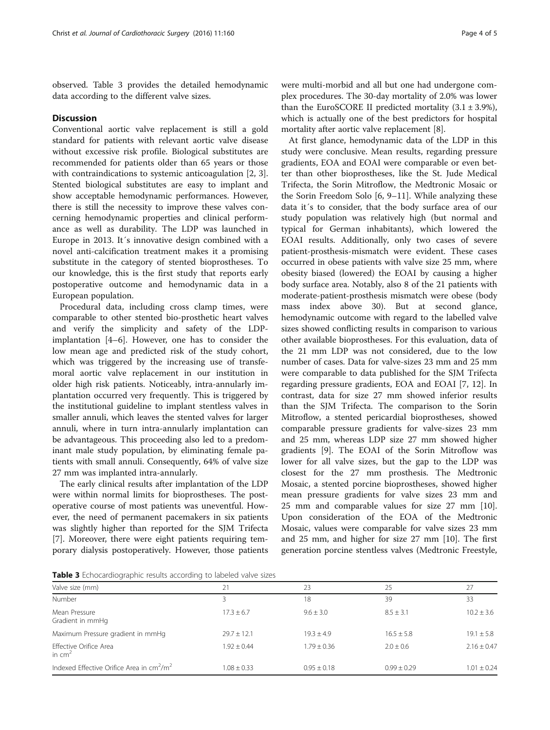observed. Table 3 provides the detailed hemodynamic data according to the different valve sizes.

## **Discussion**

Conventional aortic valve replacement is still a gold standard for patients with relevant aortic valve disease without excessive risk profile. Biological substitutes are recommended for patients older than 65 years or those with contraindications to systemic anticoagulation [\[2, 3](#page-4-0)]. Stented biological substitutes are easy to implant and show acceptable hemodynamic performances. However, there is still the necessity to improve these valves concerning hemodynamic properties and clinical performance as well as durability. The LDP was launched in Europe in 2013. It´s innovative design combined with a novel anti-calcification treatment makes it a promising substitute in the category of stented bioprostheses. To our knowledge, this is the first study that reports early postoperative outcome and hemodynamic data in a European population.

Procedural data, including cross clamp times, were comparable to other stented bio-prosthetic heart valves and verify the simplicity and safety of the LDPimplantation [\[4](#page-4-0)–[6\]](#page-4-0). However, one has to consider the low mean age and predicted risk of the study cohort, which was triggered by the increasing use of transfemoral aortic valve replacement in our institution in older high risk patients. Noticeably, intra-annularly implantation occurred very frequently. This is triggered by the institutional guideline to implant stentless valves in smaller annuli, which leaves the stented valves for larger annuli, where in turn intra-annularly implantation can be advantageous. This proceeding also led to a predominant male study population, by eliminating female patients with small annuli. Consequently, 64% of valve size 27 mm was implanted intra-annularly.

The early clinical results after implantation of the LDP were within normal limits for bioprostheses. The postoperative course of most patients was uneventful. However, the need of permanent pacemakers in six patients was slightly higher than reported for the SJM Trifecta [[7\]](#page-4-0). Moreover, there were eight patients requiring temporary dialysis postoperatively. However, those patients

were multi-morbid and all but one had undergone complex procedures. The 30-day mortality of 2.0% was lower than the EuroSCORE II predicted mortality  $(3.1 \pm 3.9\%)$ , which is actually one of the best predictors for hospital mortality after aortic valve replacement [\[8](#page-4-0)].

At first glance, hemodynamic data of the LDP in this study were conclusive. Mean results, regarding pressure gradients, EOA and EOAI were comparable or even better than other bioprostheses, like the St. Jude Medical Trifecta, the Sorin Mitroflow, the Medtronic Mosaic or the Sorin Freedom Solo [\[6, 9](#page-4-0)–[11\]](#page-4-0). While analyzing these data it´s to consider, that the body surface area of our study population was relatively high (but normal and typical for German inhabitants), which lowered the EOAI results. Additionally, only two cases of severe patient-prosthesis-mismatch were evident. These cases occurred in obese patients with valve size 25 mm, where obesity biased (lowered) the EOAI by causing a higher body surface area. Notably, also 8 of the 21 patients with moderate-patient-prosthesis mismatch were obese (body mass index above 30). But at second glance, hemodynamic outcome with regard to the labelled valve sizes showed conflicting results in comparison to various other available bioprostheses. For this evaluation, data of the 21 mm LDP was not considered, due to the low number of cases. Data for valve-sizes 23 mm and 25 mm were comparable to data published for the SJM Trifecta regarding pressure gradients, EOA and EOAI [[7](#page-4-0), [12](#page-4-0)]. In contrast, data for size 27 mm showed inferior results than the SJM Trifecta. The comparison to the Sorin Mitroflow, a stented pericardial bioprostheses, showed comparable pressure gradients for valve-sizes 23 mm and 25 mm, whereas LDP size 27 mm showed higher gradients [[9\]](#page-4-0). The EOAI of the Sorin Mitroflow was lower for all valve sizes, but the gap to the LDP was closest for the 27 mm prosthesis. The Medtronic Mosaic, a stented porcine bioprostheses, showed higher mean pressure gradients for valve sizes 23 mm and 25 mm and comparable values for size 27 mm [\[10](#page-4-0)]. Upon consideration of the EOA of the Medtronic Mosaic, values were comparable for valve sizes 23 mm and 25 mm, and higher for size 27 mm [[10\]](#page-4-0). The first generation porcine stentless valves (Medtronic Freestyle,

Table 3 Echocardiographic results according to labeled valve sizes

| Valve size (mm)                                            | 21              | 23              | 25              | 27              |
|------------------------------------------------------------|-----------------|-----------------|-----------------|-----------------|
| Number                                                     |                 | 18              | 39              | 33              |
| Mean Pressure<br>Gradient in mmHg                          | $17.3 + 6.7$    | $9.6 \pm 3.0$   | $8.5 \pm 3.1$   | $10.2 + 3.6$    |
| Maximum Pressure gradient in mmHg                          | $29.7 + 12.1$   | $19.3 + 4.9$    | $16.5 \pm 5.8$  | $19.1 \pm 5.8$  |
| Effective Orifice Area<br>in $cm2$                         | $1.92 + 0.44$   | $1.79 \pm 0.36$ | $2.0 \pm 0.6$   | $2.16 \pm 0.47$ |
| Indexed Effective Orifice Area in $\text{cm}^2/\text{m}^2$ | $1.08 \pm 0.33$ | $0.95 \pm 0.18$ | $0.99 \pm 0.29$ | $1.01 \pm 0.24$ |